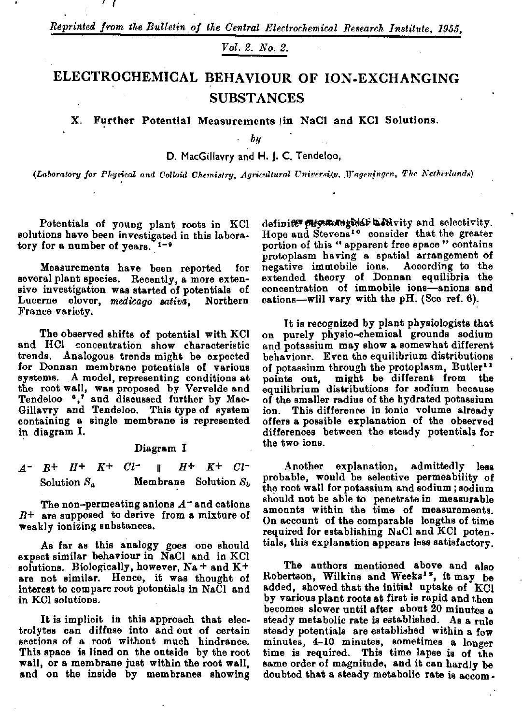*Reprinted from the Bulletin of the Central Electrochemical Research Institute, 1955,* 

# *Vol. 2. No. 2.*

# ELECTROCHEMICAL BEHAVIOUR OF ION-EXCHANGING SUBSTANCES

# X. Further Potential Measurements in NaCl and KCl Solutions.

#### • *by*

# D. MacGillavry and H. J. C. Tendeloo,

*(Laboratory for Physical and Colloid Chemistry, Agricultural University, .Wageningen, The Netherlands)* 

Potentials of young plant roots in KCl solutions have been investigated in this laboratory for a number of years.  $1-9$ 

- 1

Measurements have been reported for several plant species. Recently, a more extensive investigation was started of potentials of<br>Lucerne clover, *medicago sativa*, Northern Lucerne clover, medicago sativa, France variety.

The observed shifts of potential with KCl and HCl concentration show characteristic trends. Analogous trends might be expected for Donnan membrane potentials of various systems. A model, representing conditions the root wall, was proposed by Vervelde Tendeloo <sup>6</sup>,<sup>7</sup> and discussed further by M Gillavry and Tendeloo. This type of system containing a single membrane is represented in diagram I.

## Diagram I

*A- B+ H+ K+ CI'* II *H+ K+ Cl-*Solution *Sa* Membrane Solution *Si* 

The non-permeating anions *A~* and cations  $B<sup>+</sup>$  are supposed to derive from a mixture of weakly ionizing substances.

As far as this analogy goes one sho expect similar behaviour in NaCl and in solutions. Biologically, however,  $Na + and K +$ are not similar. Hence, it was thought of interest to compare root potentials in NaCl and in KCl solutions.

It is implicit in this approach that electrolytes can diffuse into and out of certain sections of a root without much hindrance. This space is lined on the outside by the root wall, or a membrane just within the root wall, and on the inside by membranes showing

definite pwystoletyld: Wettvity and selectivity. Hope and Stevens<sup>10</sup> consider that the greater portion of this " apparent free space " contains protoplasm having a spatial arrangement of negative immobile ions. According to the extended theory of Donnan equilibria the concentration of immobile ions—anions and cations—will vary with the pH. (See ref. 6).

It is recognized by plant physiologists that on purely physio-chemical grounds sodium and potassium may show a somewhat different behaviour. Even the equilibrium distributions of potassium through the protoplasm, Butler<sup>11</sup> points out, might be different from the equilibrium distributions for sodium because of the smaller radius of the hydrated potassium ion. This difference in ionic volume already offers a possible explanation of the observed differences between the steady potentials for the two ions.

Another explanation, admittedly less probable, would be selective permeability of the root wall for potassium and sodium ; sodium should not be able to penetrate in measurable amounts within the time of measurements. On account of the comparable lengths of time required for establishing NaCl and KCl potentials, this explanation appears less satisfactory.

The authors mentioned above and also Robertson, Wilkins and Weeks<sup>12</sup>, it may added, showed that the initial uptake of KCl by various plant roots at first is rapid and then becomes slower until after about 20 minutes a steady metabolic rate is established. As a rule steady potentials are established within a few minutes, 4-10 minutes, sometimes a long time is required. This time lapse is of same order of magnitude, and it can hardly be doubted that a steady metabolic rate is accom -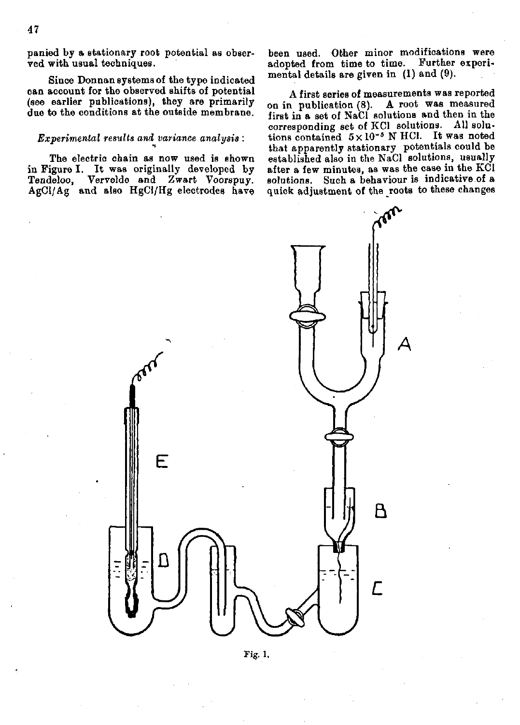panied by a stationary root potential as observed with usual techniques.

Since Donnan systems of the type indicated can account for the observed shifts of potential (see earlier publications), they are primarily due to the conditions at the outside membrane.

# *Experimental results and variance analysis* :

The electric chain as now used is shown in Figure I. It was originally developed by Tendeloo. Vervelde and Zwart Voorspuy. Vervelde and Zwart Voorspuy. AgCl/Ag and also HgCl/Hg electrodes have

been used. Other minor modifications were<br>adopted from time to time. Further experiadopted from time to time. mental details are given in (1) and (9).

A first series of measurements was reported on in publication (8). A root was measured first in a set of NaCl solutions and then in the corresponding set of KCl solutions. All solutions contained  $5 \times 10^{-5}$  N HCl. It was noted that apparently stationary potentials could be established also in the NaCl solutions, usually after a few minutes, as was the case in the KCl solutions. Such a behaviour is indicative of a quick adjustment of the roots to these changes



Fig. 1.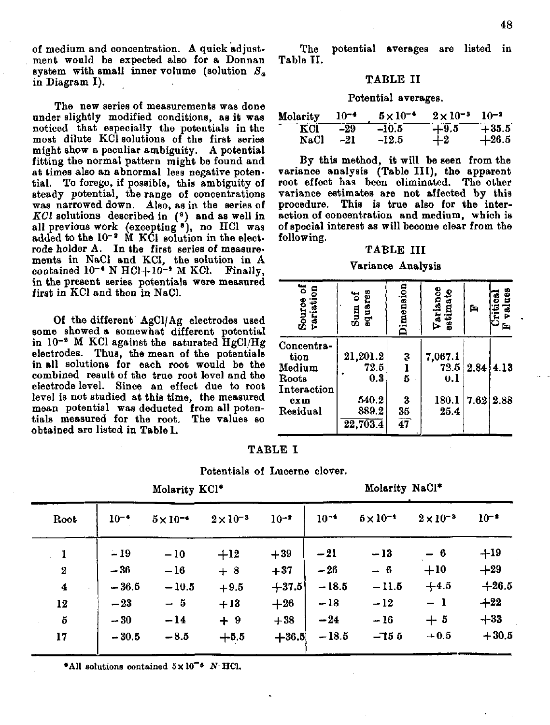of medium and concentration. A quick adjustment would be expected also for a Donnan system with small inner volume (solution *S<sup>a</sup>* in Diagram I).

The new series of measurements was done under slightly modified conditions, as it was noticed that especially the potentials in the most dilute KCl solutions of the first series might show a peculiar ambiguity. A potential fitting the normal pattern might be found and at times also an abnormal less negative potential. To forego, if possible, this ambiguity of steady potential, the range of concentrations was narrowed down. Also, as in the series of  $KCl$  solutions described in  $(9)$  and as we all previous work  $(excepting<sup>8</sup>)$ , no HCl added to the  $10^{-2}$  M KCl solution in the rode holder A. In the first series of measurements in NaCl and KCl, the solution in A contained  $10^{-4}$  N HCl $+10^{-2}$  M KCl. Fina in the present series potentials were measured first in KCl and then in NaCl.

Of the different AgCl/Ag electrodes used some showed a somewhat different potential in  $10^{-8}$  M KCl against the saturated  $HgCl/Hg$ electrodes. Thus, the mean of the potentials in all solutions for each root would be the combined result of the true root level and the electrode level. Since an effect due to root level is not studied at this time, the measured mean potential was deducted from all potentials measured for the root. The values so obtained are listed in Table I.

The potential averages are listed in Table II.

## TABLE II

#### Potential averages.

| Molarity | 10-4  | $5 \times 10^{-4}$ | $2 \times 10^{-3}$ | $10-2$  |
|----------|-------|--------------------|--------------------|---------|
| KCI      | $-29$ | $-10.5$            | $+9.5$             | $+35.5$ |
| NaCl     | -21   | $-12.5$            | $+2$               | $+26.5$ |

By this method, it will be seen from the variance analysis (Table III), the apparent root effect has been eliminated. The other variance estimates are not affected by this procedure. This is true also for the interaction of concentration and medium, which is of special interest as will become clear from the following.

## TABLE III

#### Variance Analysis

| ៵<br>5<br>Source<br>variatio                                              | Sum of<br>squares                                     | dimension                                            | Variance<br>estimate                    | 戶         | Critical<br>Pralues<br>ſ. |
|---------------------------------------------------------------------------|-------------------------------------------------------|------------------------------------------------------|-----------------------------------------|-----------|---------------------------|
| Concentra-<br>tion<br>Medium<br>Roots<br>Interaction<br>c x m<br>Residual | 21,201.2<br>72.5<br>0.3<br>540.2<br>889.2<br>22,703.4 | 3<br>$\frac{1}{5}$<br>3<br>$35\,$<br>$\overline{47}$ | 7,067.1<br>72.5<br>0.1<br>180.1<br>25.4 | 2.84 4.13 | 7.62   2.88               |

#### TABLE I

Potentials of Lucerne clover.

| Molarity KCl* |  |
|---------------|--|
|               |  |

Molarity NaCl\*

| Root             | $10^{-4}$ | $5 \times 10^{-4}$ | $2 \times 10^{-3}$ | $10^{-5}$ | $10^{-4}$ | $5 \times 10^{-4}$ | $2 \times 10^{-3}$ | $10^{-3}$ |
|------------------|-----------|--------------------|--------------------|-----------|-----------|--------------------|--------------------|-----------|
|                  | $-19$     | $-10$              | $+12$              | $+39$     | $-21$     | $-13$              | - 6                | $+19$     |
| $\boldsymbol{2}$ | $-36$     | $-16$              | $+8$               | $+37$     | $-26$     | $-6$               | $+10$              | $+29$     |
| $\ddagger$       | $-36.5$   | $-10.5$            | $+9.5$             | $+37.5$   | $-18.5$   | $-11.5$            | $+4.5$             | $+26.5$   |
| 12               | $-23$     | $-5$               | $+13$              | $+26$     | $-18$     | $-12$              | $-1$               | $+22$     |
| ð                | $-30$     | $-14$              | $+9$               | $+38$     | $-24$     | $-16$              | $+5$               | $+33$     |
| 17               | $-30.5$   | $-8.5$             | $+5.5$             | $+36.5$   | $-18.5$   | $-155$             | $+0.5$             | $+30.5$   |
|                  |           |                    |                    |           |           |                    |                    |           |

\*All solutions contained  $5 \times 10^{-5}$  N HCl.